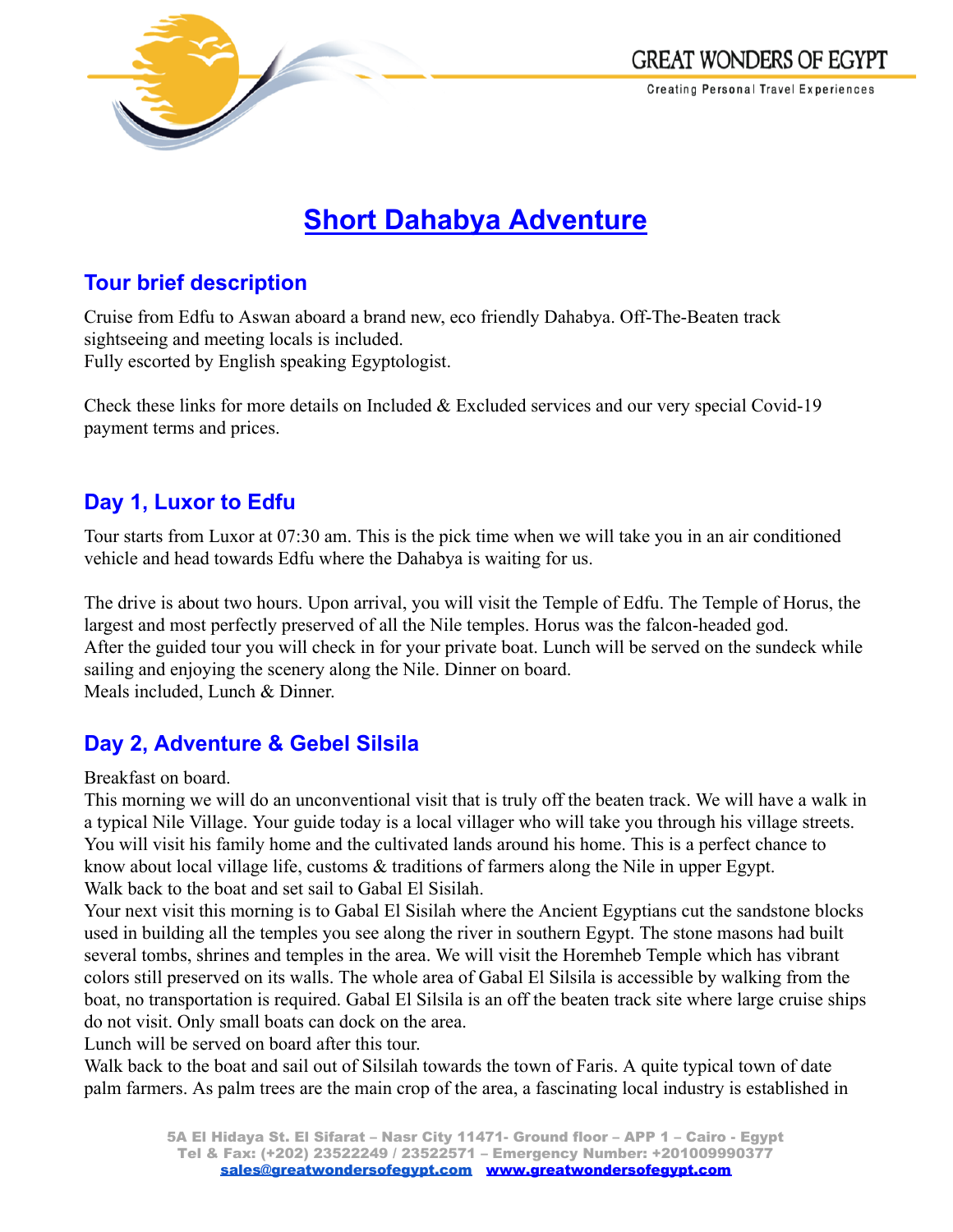

# **Short Dahabya Adventure**

## **Tour brief description**

Cruise from Edfu to Aswan aboard a brand new, eco friendly Dahabya. Off-The-Beaten track sightseeing and meeting locals is included. Fully escorted by English speaking Egyptologist.

Check these links for more details on Included & Excluded services and our very special Covid-19 payment terms and prices.

# **Day 1, Luxor to Edfu**

Tour starts from Luxor at 07:30 am. This is the pick time when we will take you in an air conditioned vehicle and head towards Edfu where the Dahabya is waiting for us.

The drive is about two hours. Upon arrival, you will visit the Temple of Edfu. The Temple of Horus, the largest and most perfectly preserved of all the Nile temples. Horus was the falcon-headed god. After the guided tour you will check in for your private boat. Lunch will be served on the sundeck while sailing and enjoying the scenery along the Nile. Dinner on board. Meals included, Lunch & Dinner.

# **Day 2, Adventure & Gebel Silsila**

Breakfast on board.

This morning we will do an unconventional visit that is truly off the beaten track. We will have a walk in a typical Nile Village. Your guide today is a local villager who will take you through his village streets. You will visit his family home and the cultivated lands around his home. This is a perfect chance to know about local village life, customs & traditions of farmers along the Nile in upper Egypt. Walk back to the boat and set sail to Gabal El Sisilah.

Your next visit this morning is to Gabal El Sisilah where the Ancient Egyptians cut the sandstone blocks used in building all the temples you see along the river in southern Egypt. The stone masons had built several tombs, shrines and temples in the area. We will visit the Horemheb Temple which has vibrant colors still preserved on its walls. The whole area of Gabal El Silsila is accessible by walking from the boat, no transportation is required. Gabal El Silsila is an off the beaten track site where large cruise ships do not visit. Only small boats can dock on the area.

Lunch will be served on board after this tour.

Walk back to the boat and sail out of Silsilah towards the town of Faris. A quite typical town of date palm farmers. As palm trees are the main crop of the area, a fascinating local industry is established in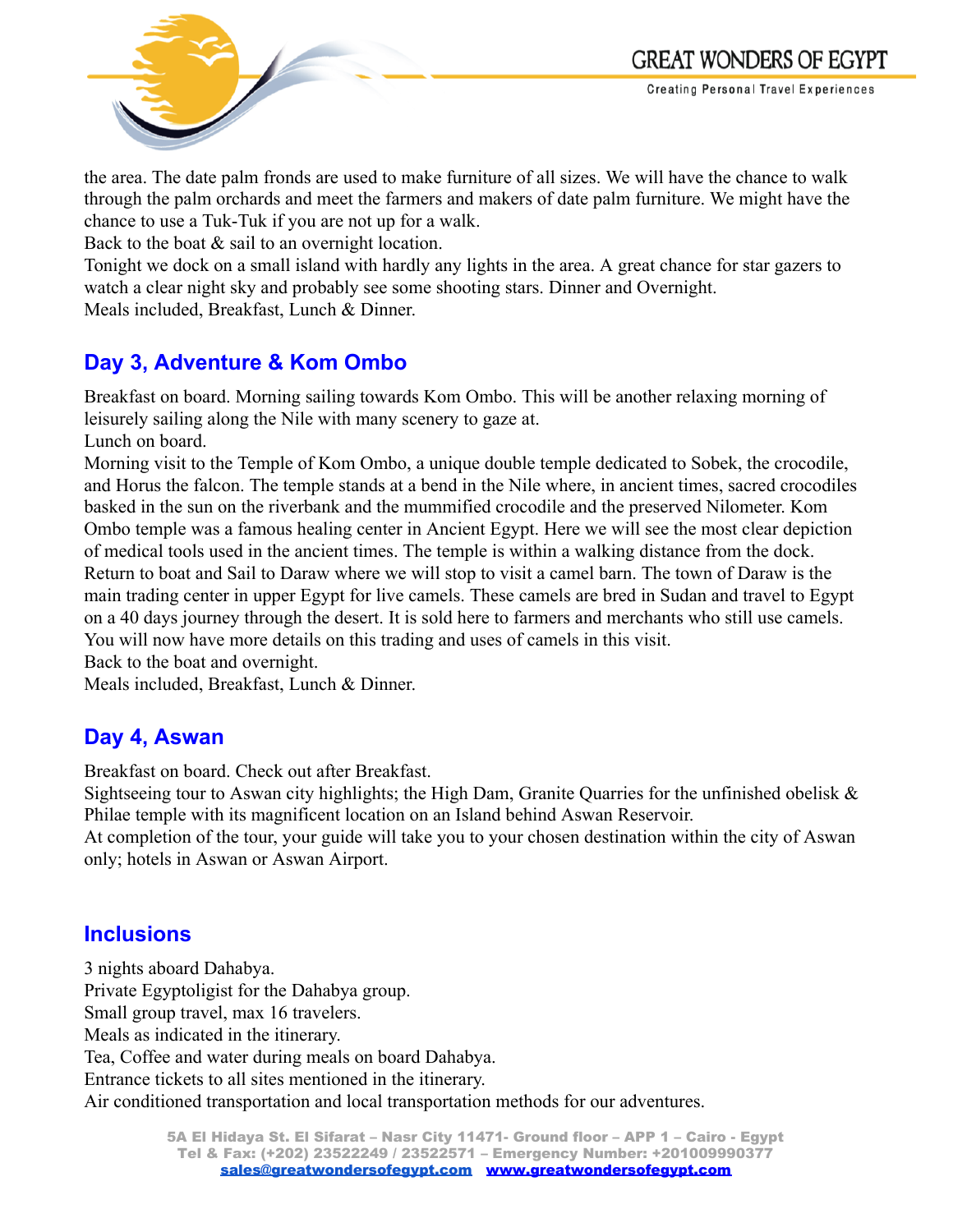

the area. The date palm fronds are used to make furniture of all sizes. We will have the chance to walk through the palm orchards and meet the farmers and makers of date palm furniture. We might have the chance to use a Tuk-Tuk if you are not up for a walk.

Back to the boat  $\&$  sail to an overnight location.

Tonight we dock on a small island with hardly any lights in the area. A great chance for star gazers to watch a clear night sky and probably see some shooting stars. Dinner and Overnight. Meals included, Breakfast, Lunch & Dinner.

## **Day 3, Adventure & Kom Ombo**

Breakfast on board. Morning sailing towards Kom Ombo. This will be another relaxing morning of leisurely sailing along the Nile with many scenery to gaze at.

Lunch on board.

Morning visit to the Temple of Kom Ombo, a unique double temple dedicated to Sobek, the crocodile, and Horus the falcon. The temple stands at a bend in the Nile where, in ancient times, sacred crocodiles basked in the sun on the riverbank and the mummified crocodile and the preserved Nilometer. Kom Ombo temple was a famous healing center in Ancient Egypt. Here we will see the most clear depiction of medical tools used in the ancient times. The temple is within a walking distance from the dock. Return to boat and Sail to Daraw where we will stop to visit a camel barn. The town of Daraw is the main trading center in upper Egypt for live camels. These camels are bred in Sudan and travel to Egypt on a 40 days journey through the desert. It is sold here to farmers and merchants who still use camels. You will now have more details on this trading and uses of camels in this visit.

Back to the boat and overnight.

Meals included, Breakfast, Lunch & Dinner.

## **Day 4, Aswan**

Breakfast on board. Check out after Breakfast.

Sightseeing tour to Aswan city highlights; the High Dam, Granite Quarries for the unfinished obelisk & Philae temple with its magnificent location on an Island behind Aswan Reservoir.

At completion of the tour, your guide will take you to your chosen destination within the city of Aswan only; hotels in Aswan or Aswan Airport.

## **Inclusions**

3 nights aboard Dahabya. Private Egyptoligist for the Dahabya group. Small group travel, max 16 travelers. Meals as indicated in the itinerary. Tea, Coffee and water during meals on board Dahabya. Entrance tickets to all sites mentioned in the itinerary. Air conditioned transportation and local transportation methods for our adventures.